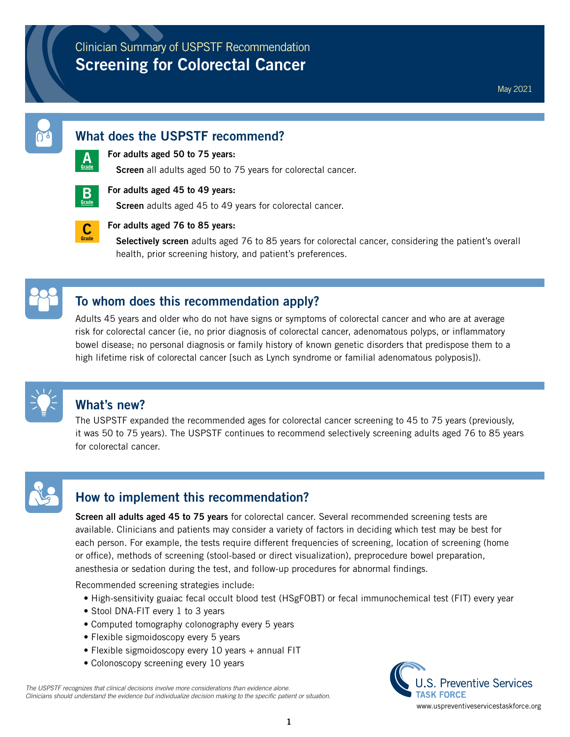## Clinician Summary of USPSTF Recommendation **Screening for Colorectal Cancer**

#### **What does the USPSTF recommend?**

# **[A](https://www.uspreventiveservicestaskforce.org/Page/Name/grade-definitions)Grade**

#### **For adults aged 50 to 75 years:**

**Screen** all adults aged 50 to 75 years for colorectal cancer.



#### **For adults aged 45 to 49 years:**

**Screen** adults aged 45 to 49 years for colorectal cancer.



#### **For adults aged 76 to 85 years:**

**Selectively screen** adults aged 76 to 85 years for colorectal cancer, considering the patient's overall health, prior screening history, and patient's preferences.

## **To whom does this recommendation apply?**

Adults 45 years and older who do not have signs or symptoms of colorectal cancer and who are at average risk for colorectal cancer (ie, no prior diagnosis of colorectal cancer, adenomatous polyps, or inflammatory bowel disease; no personal diagnosis or family history of known genetic disorders that predispose them to a high lifetime risk of colorectal cancer [such as Lynch syndrome or familial adenomatous polyposis]).



### **What's new?**

The USPSTF expanded the recommended ages for colorectal cancer screening to 45 to 75 years (previously, it was 50 to 75 years). The USPSTF continues to recommend selectively screening adults aged 76 to 85 years for colorectal cancer.



## **How to implement this recommendation?**

**Screen all adults aged 45 to 75 years** for colorectal cancer. Several recommended screening tests are available. Clinicians and patients may consider a variety of factors in deciding which test may be best for each person. For example, the tests require different frequencies of screening, location of screening (home or office), methods of screening (stool-based or direct visualization), preprocedure bowel preparation, anesthesia or sedation during the test, and follow-up procedures for abnormal findings.

Recommended screening strategies include:

- High-sensitivity guaiac fecal occult blood test (HSgFOBT) or fecal immunochemical test (FIT) every year
- Stool DNA-FIT every 1 to 3 years
- Computed tomography colonography every 5 years
- Flexible sigmoidoscopy every 5 years
- Flexible sigmoidoscopy every 10 years + annual FIT
- Colonoscopy screening every 10 years

*The USPSTF recognizes that clinical decisions involve more considerations than evidence alone. Clinicians should understand the evidence but individualize decision making to the specific patient or situation.*